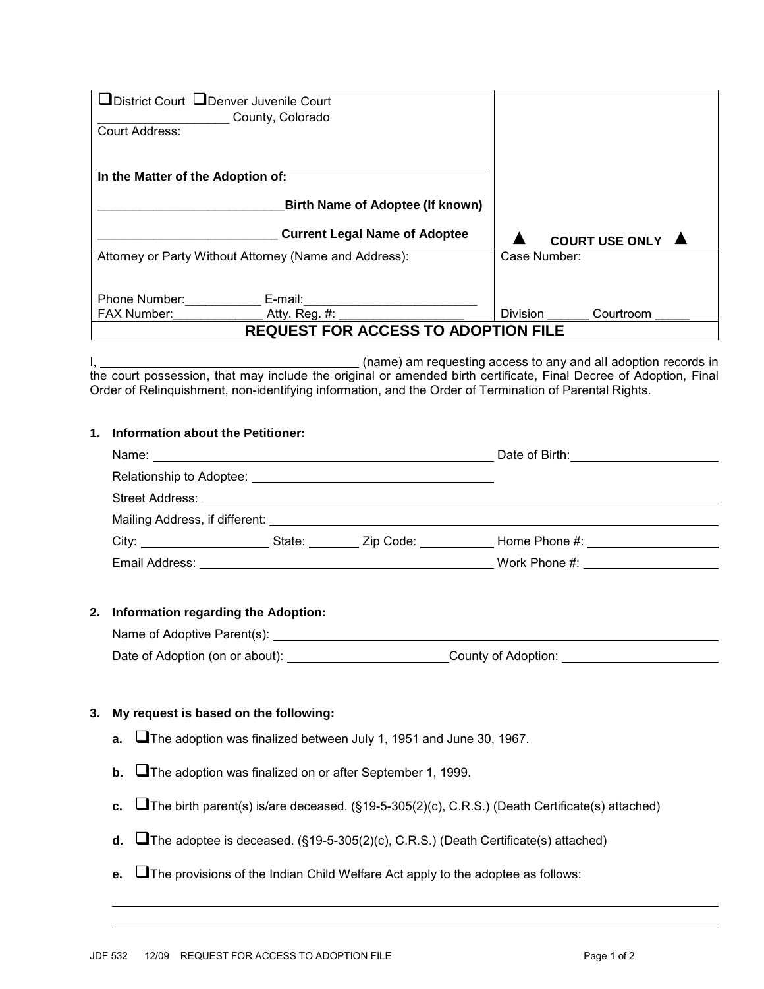| District Court LDenver Juvenile Court                  |                 |                       |  |
|--------------------------------------------------------|-----------------|-----------------------|--|
| County, Colorado                                       |                 |                       |  |
| Court Address:                                         |                 |                       |  |
|                                                        |                 |                       |  |
|                                                        |                 |                       |  |
| In the Matter of the Adoption of:                      |                 |                       |  |
|                                                        |                 |                       |  |
| <b>Birth Name of Adoptee (If known)</b>                |                 |                       |  |
| <b>Current Legal Name of Adoptee</b>                   |                 |                       |  |
|                                                        |                 | <b>COURT USE ONLY</b> |  |
| Attorney or Party Without Attorney (Name and Address): |                 | Case Number:          |  |
|                                                        |                 |                       |  |
|                                                        |                 |                       |  |
| Phone Number:<br>E-mail:                               |                 |                       |  |
| FAX Number:<br>Atty. Reg. #:                           | <b>Division</b> | Courtroom             |  |
| <b>REQUEST FOR ACCESS TO ADOPTION FILE</b>             |                 |                       |  |

I, (name) am requesting access to any and all adoption records in the court possession, that may include the original or amended birth certificate, Final Decree of Adoption, Final Order of Relinquishment, non-identifying information, and the Order of Termination of Parental Rights.

## **1. Information about the Petitioner:**

|                                                                                                                                                                                                                               |  | Date of Birth: <u>contained</u> |
|-------------------------------------------------------------------------------------------------------------------------------------------------------------------------------------------------------------------------------|--|---------------------------------|
|                                                                                                                                                                                                                               |  |                                 |
|                                                                                                                                                                                                                               |  |                                 |
|                                                                                                                                                                                                                               |  |                                 |
| City: City: City: City: City: City: City: City: City: City: City: City: City: City: City: City: City: City: City: City: City: City: City: City: City: City: City: City: City: City: City: City: City: City: City: City: City: |  | Home Phone #: New York 2014     |
|                                                                                                                                                                                                                               |  | Work Phone #: Work Phone #:     |

## **2. Information regarding the Adoption:**

| Name of Adoptive Parent(s):     |                     |
|---------------------------------|---------------------|
| Date of Adoption (on or about): | County of Adoption: |

## **3. My request is based on the following:**

 $\overline{a}$ 

- **a.** The adoption was finalized between July 1, 1951 and June 30, 1967.
- **b. The adoption was finalized on or after September 1, 1999.**
- **c.** The birth parent(s) is/are deceased. (§19-5-305(2)(c), C.R.S.) (Death Certificate(s) attached)
- **d.** The adoptee is deceased. (§19-5-305(2)(c), C.R.S.) (Death Certificate(s) attached)
- **e.** The provisions of the Indian Child Welfare Act apply to the adoptee as follows: